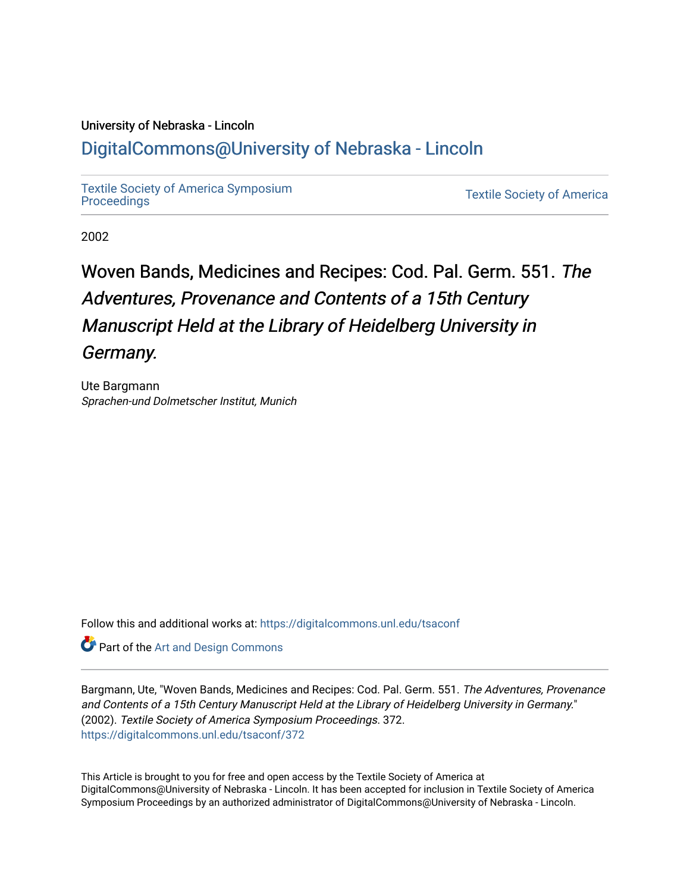### University of Nebraska - Lincoln

## [DigitalCommons@University of Nebraska - Lincoln](https://digitalcommons.unl.edu/)

[Textile Society of America Symposium](https://digitalcommons.unl.edu/tsaconf) 

**Textile Society of America** 

2002

# Woven Bands, Medicines and Recipes: Cod. Pal. Germ. 551. The Adventures, Provenance and Contents of a 15th Century Manuscript Held at the Library of Heidelberg University in Germany.

Ute Bargmann Sprachen-und Dolmetscher Institut, Munich

Follow this and additional works at: [https://digitalcommons.unl.edu/tsaconf](https://digitalcommons.unl.edu/tsaconf?utm_source=digitalcommons.unl.edu%2Ftsaconf%2F372&utm_medium=PDF&utm_campaign=PDFCoverPages)

**Part of the [Art and Design Commons](http://network.bepress.com/hgg/discipline/1049?utm_source=digitalcommons.unl.edu%2Ftsaconf%2F372&utm_medium=PDF&utm_campaign=PDFCoverPages)** 

Bargmann, Ute, "Woven Bands, Medicines and Recipes: Cod. Pal. Germ. 551. The Adventures, Provenance and Contents of a 15th Century Manuscript Held at the Library of Heidelberg University in Germany." (2002). Textile Society of America Symposium Proceedings. 372. [https://digitalcommons.unl.edu/tsaconf/372](https://digitalcommons.unl.edu/tsaconf/372?utm_source=digitalcommons.unl.edu%2Ftsaconf%2F372&utm_medium=PDF&utm_campaign=PDFCoverPages) 

This Article is brought to you for free and open access by the Textile Society of America at DigitalCommons@University of Nebraska - Lincoln. It has been accepted for inclusion in Textile Society of America Symposium Proceedings by an authorized administrator of DigitalCommons@University of Nebraska - Lincoln.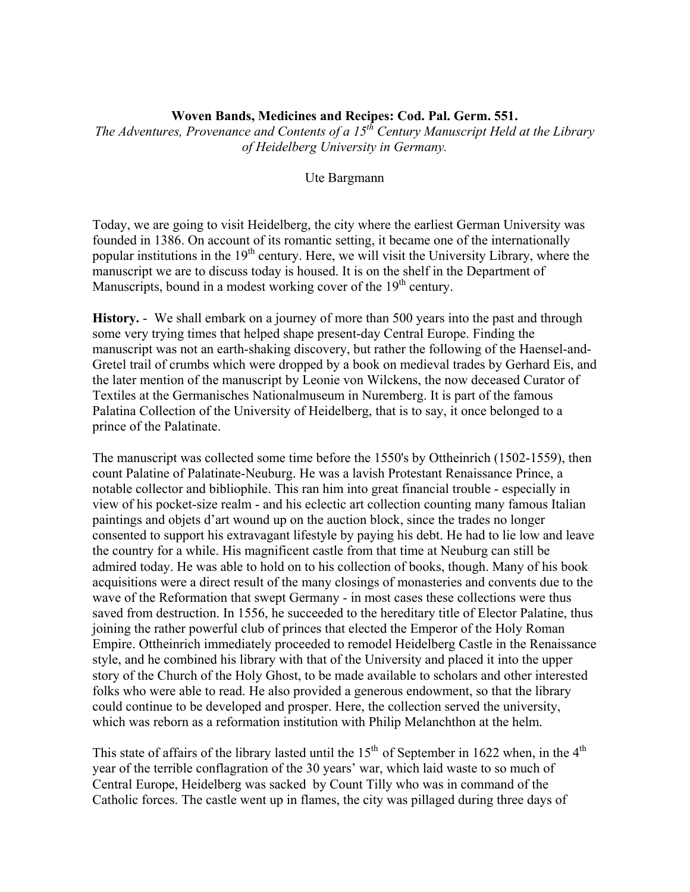#### **Woven Bands, Medicines and Recipes: Cod. Pal. Germ. 551.**

*The Adventures, Provenance and Contents of a 15th Century Manuscript Held at the Library of Heidelberg University in Germany.* 

Ute Bargmann

Today, we are going to visit Heidelberg, the city where the earliest German University was founded in 1386. On account of its romantic setting, it became one of the internationally popular institutions in the  $19<sup>th</sup>$  century. Here, we will visit the University Library, where the manuscript we are to discuss today is housed. It is on the shelf in the Department of Manuscripts, bound in a modest working cover of the  $19<sup>th</sup>$  century.

**History.** - We shall embark on a journey of more than 500 years into the past and through some very trying times that helped shape present-day Central Europe. Finding the manuscript was not an earth-shaking discovery, but rather the following of the Haensel-and-Gretel trail of crumbs which were dropped by a book on medieval trades by Gerhard Eis, and the later mention of the manuscript by Leonie von Wilckens, the now deceased Curator of Textiles at the Germanisches Nationalmuseum in Nuremberg. It is part of the famous Palatina Collection of the University of Heidelberg, that is to say, it once belonged to a prince of the Palatinate.

The manuscript was collected some time before the 1550's by Ottheinrich (1502-1559), then count Palatine of Palatinate-Neuburg. He was a lavish Protestant Renaissance Prince, a notable collector and bibliophile. This ran him into great financial trouble - especially in view of his pocket-size realm - and his eclectic art collection counting many famous Italian paintings and objets d'art wound up on the auction block, since the trades no longer consented to support his extravagant lifestyle by paying his debt. He had to lie low and leave the country for a while. His magnificent castle from that time at Neuburg can still be admired today. He was able to hold on to his collection of books, though. Many of his book acquisitions were a direct result of the many closings of monasteries and convents due to the wave of the Reformation that swept Germany - in most cases these collections were thus saved from destruction. In 1556, he succeeded to the hereditary title of Elector Palatine, thus joining the rather powerful club of princes that elected the Emperor of the Holy Roman Empire. Ottheinrich immediately proceeded to remodel Heidelberg Castle in the Renaissance style, and he combined his library with that of the University and placed it into the upper story of the Church of the Holy Ghost, to be made available to scholars and other interested folks who were able to read. He also provided a generous endowment, so that the library could continue to be developed and prosper. Here, the collection served the university, which was reborn as a reformation institution with Philip Melanchthon at the helm.

This state of affairs of the library lasted until the  $15<sup>th</sup>$  of September in 1622 when, in the  $4<sup>th</sup>$ year of the terrible conflagration of the 30 years' war, which laid waste to so much of Central Europe, Heidelberg was sacked by Count Tilly who was in command of the Catholic forces. The castle went up in flames, the city was pillaged during three days of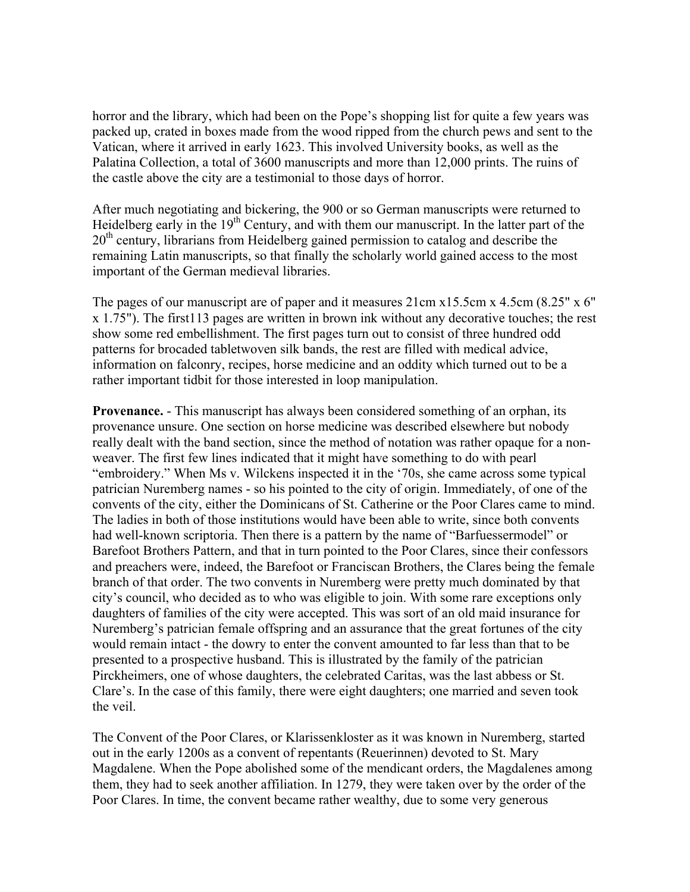horror and the library, which had been on the Pope's shopping list for quite a few years was packed up, crated in boxes made from the wood ripped from the church pews and sent to the Vatican, where it arrived in early 1623. This involved University books, as well as the Palatina Collection, a total of 3600 manuscripts and more than 12,000 prints. The ruins of the castle above the city are a testimonial to those days of horror.

After much negotiating and bickering, the 900 or so German manuscripts were returned to Heidelberg early in the  $19<sup>th</sup>$  Century, and with them our manuscript. In the latter part of the 20<sup>th</sup> century, librarians from Heidelberg gained permission to catalog and describe the remaining Latin manuscripts, so that finally the scholarly world gained access to the most important of the German medieval libraries.

The pages of our manuscript are of paper and it measures  $21 \text{cm} x15.5 \text{cm} x 4.5 \text{cm} (8.25" x 6"$ x 1.75"). The first113 pages are written in brown ink without any decorative touches; the rest show some red embellishment. The first pages turn out to consist of three hundred odd patterns for brocaded tabletwoven silk bands, the rest are filled with medical advice, information on falconry, recipes, horse medicine and an oddity which turned out to be a rather important tidbit for those interested in loop manipulation.

**Provenance.** - This manuscript has always been considered something of an orphan, its provenance unsure. One section on horse medicine was described elsewhere but nobody really dealt with the band section, since the method of notation was rather opaque for a nonweaver. The first few lines indicated that it might have something to do with pearl "embroidery." When Ms v. Wilckens inspected it in the '70s, she came across some typical patrician Nuremberg names - so his pointed to the city of origin. Immediately, of one of the convents of the city, either the Dominicans of St. Catherine or the Poor Clares came to mind. The ladies in both of those institutions would have been able to write, since both convents had well-known scriptoria. Then there is a pattern by the name of "Barfuessermodel" or Barefoot Brothers Pattern, and that in turn pointed to the Poor Clares, since their confessors and preachers were, indeed, the Barefoot or Franciscan Brothers, the Clares being the female branch of that order. The two convents in Nuremberg were pretty much dominated by that city's council, who decided as to who was eligible to join. With some rare exceptions only daughters of families of the city were accepted. This was sort of an old maid insurance for Nuremberg's patrician female offspring and an assurance that the great fortunes of the city would remain intact - the dowry to enter the convent amounted to far less than that to be presented to a prospective husband. This is illustrated by the family of the patrician Pirckheimers, one of whose daughters, the celebrated Caritas, was the last abbess or St. Clare's. In the case of this family, there were eight daughters; one married and seven took the veil.

The Convent of the Poor Clares, or Klarissenkloster as it was known in Nuremberg, started out in the early 1200s as a convent of repentants (Reuerinnen) devoted to St. Mary Magdalene. When the Pope abolished some of the mendicant orders, the Magdalenes among them, they had to seek another affiliation. In 1279, they were taken over by the order of the Poor Clares. In time, the convent became rather wealthy, due to some very generous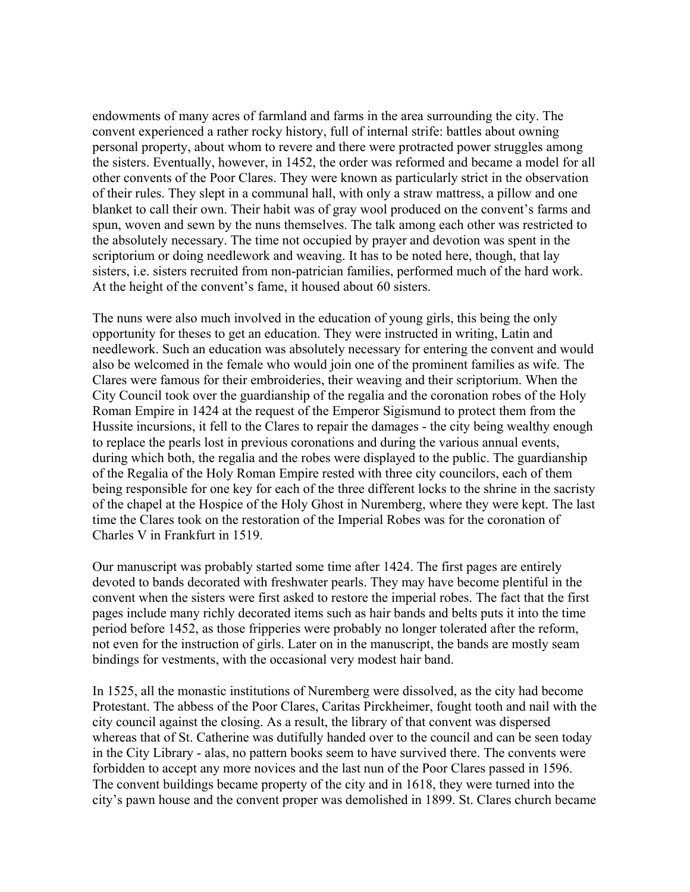endowments of many acres of farmland and farms in the area surrounding the city. The convent experienced a rather rocky history, full of internal strife: battles about owning personal property, about whom to revere and there were protracted power struggles among the sisters. Eventually, however, in 1452, the order was reformed and became a model for all other convents of the Poor Clares. They were known as particularly strict in the observation of their rules. They slept in a communal hall, with only a straw mattress, a pillow and one blanket to call their own. Their habit was of gray wool produced on the convent's farms and spun, woven and sewn by the nuns themselves. The talk among each other was restricted to the absolutely necessary. The time not occupied by prayer and devotion was spent in the scriptorium or doing needlework and weaving. It has to be noted here, though, that lay sisters, i.e. sisters recruited from non-patrician families, performed much of the hard work. At the height of the convent's fame, it housed about 60 sisters.

The nuns were also much involved in the education of young girls, this being the only opportunity for theses to get an education. They were instructed in writing, Latin and needlework. Such an education was absolutely necessary for entering the convent and would also be welcomed in the female who would join one of the prominent families as wife. The Clares were famous for their embroideries, their weaving and their scriptorium. When the City Council took over the guardianship of the regalia and the coronation robes of the Holy Roman Empire in 1424 at the request of the Emperor Sigismund to protect them from the Hussite incursions, it fell to the Clares to repair the damages - the city being wealthy enough to replace the pearls lost in previous coronations and during the various annual events, during which both, the regalia and the robes were displayed to the public. The guardianship of the Regalia of the Holy Roman Empire rested with three city councilors, each of them being responsible for one key for each of the three different locks to the shrine in the sacristy of the chapel at the Hospice of the Holy Ghost in Nuremberg, where they were kept. The last time the Clares took on the restoration of the Imperial Robes was for the coronation of Charles V in Frankfurt in 1519.

Our manuscript was probably started some time after 1424. The first pages are entirely devoted to bands decorated with freshwater pearls. They may have become plentiful in the convent when the sisters were first asked to restore the imperial robes. The fact that the first pages include many richly decorated items such as hair bands and belts puts it into the time period before 1452, as those fripperies were probably no longer tolerated after the reform, not even for the instruction of girls. Later on in the manuscript, the bands are mostly seam bindings for vestments, with the occasional very modest hair band.

In 1525, all the monastic institutions of Nuremberg were dissolved, as the city had become Protestant. The abbess of the Poor Clares, Caritas Pirckheimer, fought tooth and nail with the city council against the closing. As a result, the library of that convent was dispersed whereas that of St. Catherine was dutifully handed over to the council and can be seen today in the City Library - alas, no pattern books seem to have survived there. The convents were forbidden to accept any more novices and the last nun of the Poor Clares passed in 1596. The convent buildings became property of the city and in 1618, they were turned into the city's pawn house and the convent proper was demolished in 1899. St. Clares church became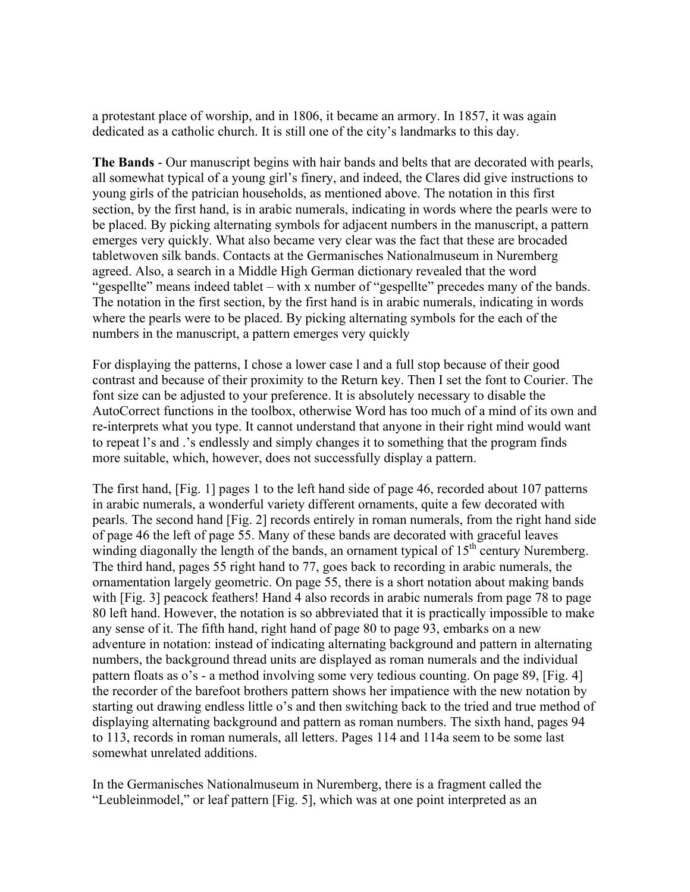a protestant place of worship, and in 1806, it became an armory. In 1857, it was again dedicated as a catholic church. It is still one of the city's landmarks to this day.

**The Bands** - Our manuscript begins with hair bands and belts that are decorated with pearls, all somewhat typical of a young girl's finery, and indeed, the Clares did give instructions to young girls of the patrician households, as mentioned above. The notation in this first section, by the first hand, is in arabic numerals, indicating in words where the pearls were to be placed. By picking alternating symbols for adjacent numbers in the manuscript, a pattern emerges very quickly. What also became very clear was the fact that these are brocaded tabletwoven silk bands. Contacts at the Germanisches Nationalmuseum in Nuremberg agreed. Also, a search in a Middle High German dictionary revealed that the word "gespellte" means indeed tablet – with x number of "gespellte" precedes many of the bands. The notation in the first section, by the first hand is in arabic numerals, indicating in words where the pearls were to be placed. By picking alternating symbols for the each of the numbers in the manuscript, a pattern emerges very quickly

For displaying the patterns, I chose a lower case l and a full stop because of their good contrast and because of their proximity to the Return key. Then I set the font to Courier. The font size can be adjusted to your preference. It is absolutely necessary to disable the AutoCorrect functions in the toolbox, otherwise Word has too much of a mind of its own and re-interprets what you type. It cannot understand that anyone in their right mind would want to repeat l's and .'s endlessly and simply changes it to something that the program finds more suitable, which, however, does not successfully display a pattern.

The first hand, [Fig. 1] pages 1 to the left hand side of page 46, recorded about 107 patterns in arabic numerals, a wonderful variety different ornaments, quite a few decorated with pearls. The second hand [Fig. 2] records entirely in roman numerals, from the right hand side of page 46 the left of page 55. Many of these bands are decorated with graceful leaves winding diagonally the length of the bands, an ornament typical of  $15<sup>th</sup>$  century Nuremberg. The third hand, pages 55 right hand to 77, goes back to recording in arabic numerals, the ornamentation largely geometric. On page 55, there is a short notation about making bands with [Fig. 3] peacock feathers! Hand 4 also records in arabic numerals from page 78 to page 80 left hand. However, the notation is so abbreviated that it is practically impossible to make any sense of it. The fifth hand, right hand of page 80 to page 93, embarks on a new adventure in notation: instead of indicating alternating background and pattern in alternating numbers, the background thread units are displayed as roman numerals and the individual pattern floats as o's - a method involving some very tedious counting. On page 89, [Fig. 4] the recorder of the barefoot brothers pattern shows her impatience with the new notation by starting out drawing endless little o's and then switching back to the tried and true method of displaying alternating background and pattern as roman numbers. The sixth hand, pages 94 to 113, records in roman numerals, all letters. Pages 114 and 114a seem to be some last somewhat unrelated additions.

In the Germanisches Nationalmuseum in Nuremberg, there is a fragment called the "Leubleinmodel," or leaf pattern [Fig. 5], which was at one point interpreted as an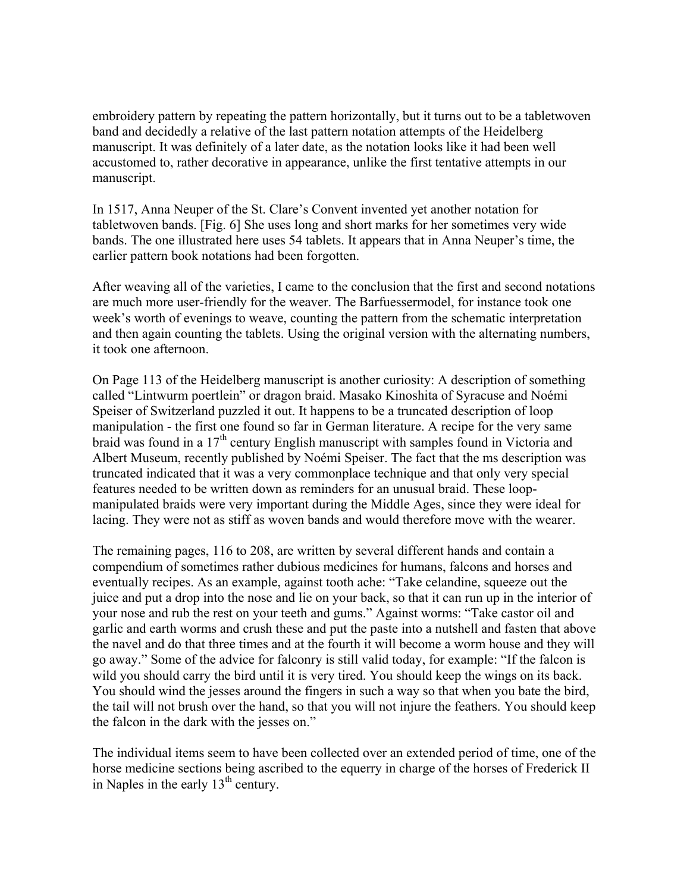embroidery pattern by repeating the pattern horizontally, but it turns out to be a tabletwoven band and decidedly a relative of the last pattern notation attempts of the Heidelberg manuscript. It was definitely of a later date, as the notation looks like it had been well accustomed to, rather decorative in appearance, unlike the first tentative attempts in our manuscript.

In 1517, Anna Neuper of the St. Clare's Convent invented yet another notation for tabletwoven bands. [Fig. 6] She uses long and short marks for her sometimes very wide bands. The one illustrated here uses 54 tablets. It appears that in Anna Neuper's time, the earlier pattern book notations had been forgotten.

After weaving all of the varieties, I came to the conclusion that the first and second notations are much more user-friendly for the weaver. The Barfuessermodel, for instance took one week's worth of evenings to weave, counting the pattern from the schematic interpretation and then again counting the tablets. Using the original version with the alternating numbers, it took one afternoon.

On Page 113 of the Heidelberg manuscript is another curiosity: A description of something called "Lintwurm poertlein" or dragon braid. Masako Kinoshita of Syracuse and Noémi Speiser of Switzerland puzzled it out. It happens to be a truncated description of loop manipulation - the first one found so far in German literature. A recipe for the very same braid was found in a 17<sup>th</sup> century English manuscript with samples found in Victoria and Albert Museum, recently published by Noémi Speiser. The fact that the ms description was truncated indicated that it was a very commonplace technique and that only very special features needed to be written down as reminders for an unusual braid. These loopmanipulated braids were very important during the Middle Ages, since they were ideal for lacing. They were not as stiff as woven bands and would therefore move with the wearer.

The remaining pages, 116 to 208, are written by several different hands and contain a compendium of sometimes rather dubious medicines for humans, falcons and horses and eventually recipes. As an example, against tooth ache: "Take celandine, squeeze out the juice and put a drop into the nose and lie on your back, so that it can run up in the interior of your nose and rub the rest on your teeth and gums." Against worms: "Take castor oil and garlic and earth worms and crush these and put the paste into a nutshell and fasten that above the navel and do that three times and at the fourth it will become a worm house and they will go away." Some of the advice for falconry is still valid today, for example: "If the falcon is wild you should carry the bird until it is very tired. You should keep the wings on its back. You should wind the jesses around the fingers in such a way so that when you bate the bird, the tail will not brush over the hand, so that you will not injure the feathers. You should keep the falcon in the dark with the jesses on."

The individual items seem to have been collected over an extended period of time, one of the horse medicine sections being ascribed to the equerry in charge of the horses of Frederick II in Naples in the early  $13<sup>th</sup>$  century.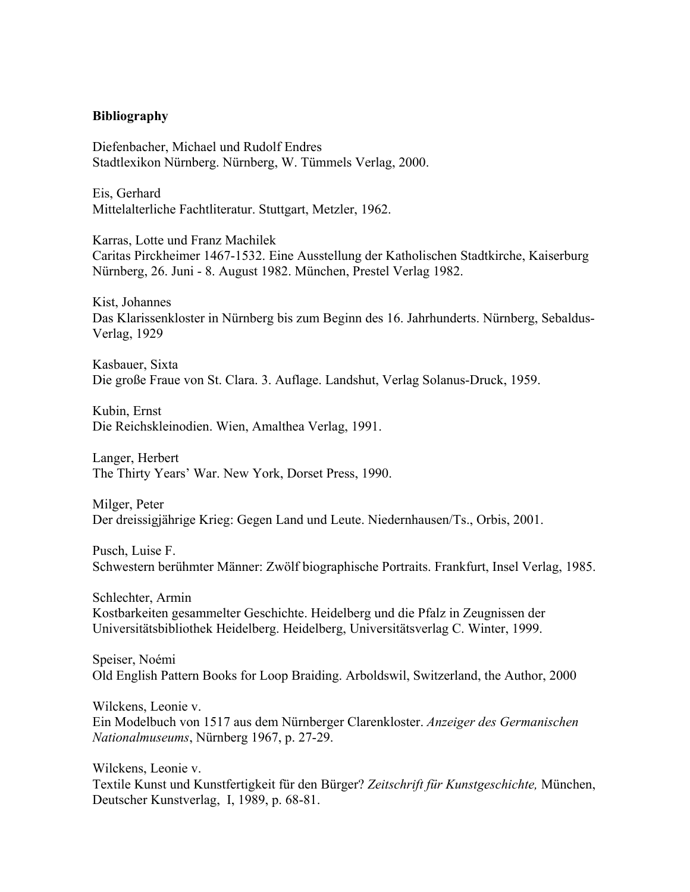### **Bibliography**

Diefenbacher, Michael und Rudolf Endres Stadtlexikon Nürnberg. Nürnberg, W. Tümmels Verlag, 2000.

Eis, Gerhard Mittelalterliche Fachtliteratur. Stuttgart, Metzler, 1962.

Karras, Lotte und Franz Machilek Caritas Pirckheimer 1467-1532. Eine Ausstellung der Katholischen Stadtkirche, Kaiserburg Nürnberg, 26. Juni - 8. August 1982. München, Prestel Verlag 1982.

Kist, Johannes Das Klarissenkloster in Nürnberg bis zum Beginn des 16. Jahrhunderts. Nürnberg, Sebaldus-Verlag, 1929

Kasbauer, Sixta Die große Fraue von St. Clara. 3. Auflage. Landshut, Verlag Solanus-Druck, 1959.

Kubin, Ernst Die Reichskleinodien. Wien, Amalthea Verlag, 1991.

Langer, Herbert The Thirty Years' War. New York, Dorset Press, 1990.

Milger, Peter Der dreissigjährige Krieg: Gegen Land und Leute. Niedernhausen/Ts., Orbis, 2001.

Pusch, Luise F. Schwestern berühmter Männer: Zwölf biographische Portraits. Frankfurt, Insel Verlag, 1985.

Schlechter, Armin Kostbarkeiten gesammelter Geschichte. Heidelberg und die Pfalz in Zeugnissen der Universitätsbibliothek Heidelberg. Heidelberg, Universitätsverlag C. Winter, 1999.

Speiser, Noémi Old English Pattern Books for Loop Braiding. Arboldswil, Switzerland, the Author, 2000

Wilckens, Leonie v. Ein Modelbuch von 1517 aus dem Nürnberger Clarenkloster. *Anzeiger des Germanischen Nationalmuseums*, Nürnberg 1967, p. 27-29.

Wilckens, Leonie v. Textile Kunst und Kunstfertigkeit für den Bürger? *Zeitschrift für Kunstgeschichte,* München, Deutscher Kunstverlag, I, 1989, p. 68-81.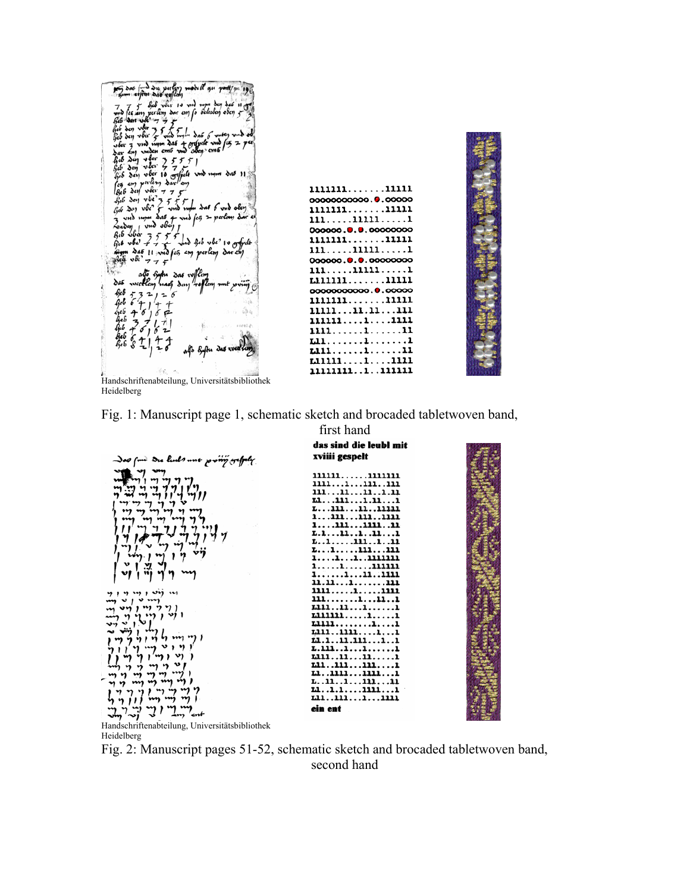

| 111111111111              |
|---------------------------|
| 00000000000.0.00000       |
| 111111111111              |
| 111111111                 |
| 000000.0.0.00000000       |
| 111111111111              |
| $111 \dots 11111 \dots 1$ |
| 000000.0.0.00000000       |
| 111. 11111. <i>.</i> 1    |
| riililillill              |
| 00000000000.0.00000       |
| 111111111111              |
| 1111111.11111             |
| 11111111111               |
| 1111. 1 11                |
| 1.11. 1 1                 |
| L111111                   |
| 11111111111               |
| 111111111111111           |
|                           |

 Handschriftenabteilung, Universitätsbibliothek Heidelberg





Heidelberg

Fig. 2: Manuscript pages 51-52, schematic sketch and brocaded tabletwoven band, second hand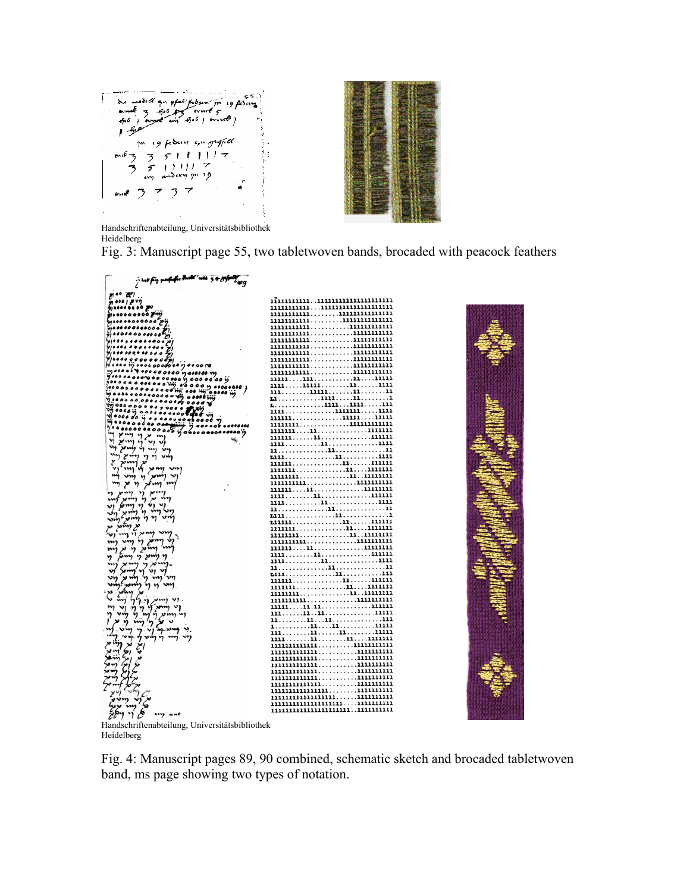

 Handschriftenabteilung, Universitätsbibliothek Heidelberg

Fig. 3: Manuscript page 55, two tabletwoven bands, brocaded with peacock feathers



Heidelberg

Fig. 4: Manuscript pages 89, 90 combined, schematic sketch and brocaded tabletwoven band, ms page showing two types of notation.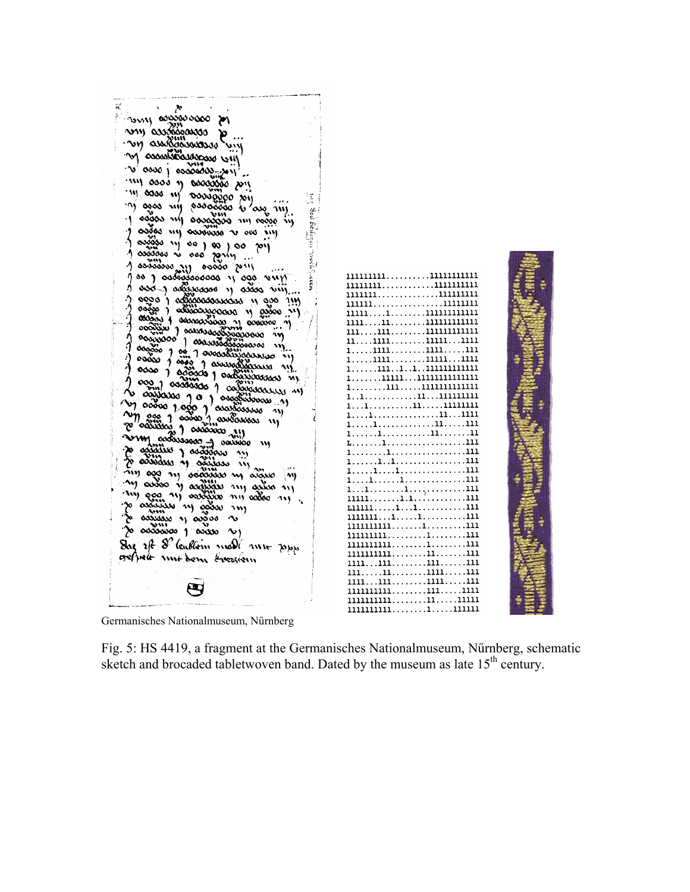| why composed                                               |                                                                                        |  |
|------------------------------------------------------------|----------------------------------------------------------------------------------------|--|
|                                                            |                                                                                        |  |
| ony avaligavana a mil                                      |                                                                                        |  |
|                                                            |                                                                                        |  |
| 'M OSSOSSOSSUSSOSS UN                                      |                                                                                        |  |
| $\sim$ $\sim$ $\sim$ $\sim$ $\sim$ $\sim$ $\sim$           |                                                                                        |  |
|                                                            |                                                                                        |  |
| im assos y secogges pin                                    |                                                                                        |  |
| m ooo ny ooooggoo sy<br>đ                                  |                                                                                        |  |
| m ogos nij oddoood i 'an.                                  |                                                                                        |  |
| č<br>いい<br>agas my aasassas my agaa ny                     |                                                                                        |  |
| a assas my assassa a oos my                                |                                                                                        |  |
| $\gamma$ aggo $\gamma$ so $\gamma$ so $\gamma$ os $\gamma$ |                                                                                        |  |
|                                                            |                                                                                        |  |
| 1 assass is one raring<br>$1$ sociology $\frac{1}{2}$      |                                                                                        |  |
| $00000$ $211$                                              |                                                                                        |  |
| goog oodwaanaan u ago wun                                  | 111111111111111111111<br>1111111111111111111                                           |  |
| I aso I additioned it acces vill                           | 11111111111111111                                                                      |  |
| ago a admonitorum il dio                                   |                                                                                        |  |
| oogso ) oddooxyoocoo y gooo                                |                                                                                        |  |
|                                                            | 11111111111111111111                                                                   |  |
|                                                            | 11111111111111111111                                                                   |  |
|                                                            | $11 \dots 1111 \dots \dots 11111 \dots 1111$                                           |  |
|                                                            | $1, \ldots, 1111, \ldots, \ldots, 1111, \ldots, 111$                                   |  |
|                                                            | $1, \ldots, 1111, \ldots, \ldots, 11111, \ldots 1111$<br>1. 111 1 1 111 111 111 111 11 |  |
|                                                            |                                                                                        |  |
|                                                            |                                                                                        |  |
|                                                            |                                                                                        |  |
|                                                            |                                                                                        |  |
| m cas 1 aasta 1 aastawas 11                                |                                                                                        |  |
| p occursos<br>$1$ $\infty$ $\infty$ $\infty$               |                                                                                        |  |
| <b>VIM accourance</b>                                      | 1. 1. 11. 11                                                                           |  |
| 0000000<br>$\mathbf{w}$<br>to again y agains in            |                                                                                        |  |
| w assister of assister in                                  |                                                                                        |  |
| v                                                          |                                                                                        |  |
| my and my adaptation in argue<br>m)                        |                                                                                        |  |
| m avios y arginar my avios my                              |                                                                                        |  |
|                                                            |                                                                                        |  |
| zo oszuján ny ogom ny                                      |                                                                                        |  |
| so consume is appear                                       | 11111111. <b>1.</b> 1. 111                                                             |  |
| 'Yo addadoo 1 adda Ny                                      | 111111111111111                                                                        |  |
| Dag of I leadlern mall me popp                             | 11111111111111                                                                         |  |
|                                                            | 11111111111111111                                                                      |  |
| oefydt mut bem tromen                                      | $1111\ldots111\ldots\ldots111\ldots\ldots111$                                          |  |
|                                                            | 111. 11. 1111. 111                                                                     |  |
|                                                            | 1111. 111. 1111. 111                                                                   |  |
|                                                            | 11111111111111111                                                                      |  |
|                                                            | 11111111111111111<br>11111111111111111                                                 |  |
|                                                            |                                                                                        |  |

Germanisches Nationalmuseum, Nűrnberg

Fig. 5: HS 4419, a fragment at the Germanisches Nationalmuseum, Nűrnberg, schematic sketch and brocaded tabletwoven band. Dated by the museum as late 15<sup>th</sup> century.